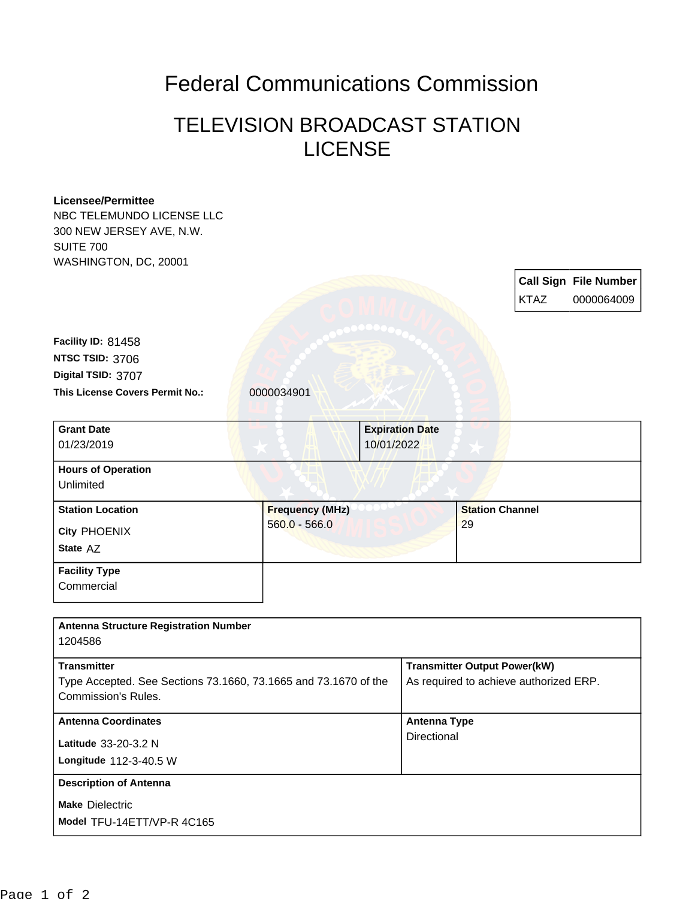## Federal Communications Commission

## TELEVISION BROADCAST STATION LICENSE

## **Licensee/Permittee** NBC TELEMUNDO LICENSE LLC 300 NEW JERSEY AVE, N.W. SUITE 700 WASHINGTON, DC, 20001 **Call Sign File Number** KTAZ 0000064009 This License Covers Permit No.: 0000034901 **Digital TSID:** 3707 **NTSC TSID:** 3706 **Facility ID:** 81458 **Model** TFU-14ETT/VP-R 4C165 **Make** Dielectric **Longitude** 112-3-40.5 W **Latitude** 33-20-3.2 N **State** AZ **City** PHOENIX **Grant Date** 01/23/2019 **Expiration Date** 10/01/2022 **Hours of Operation** Unlimited **Station Location Figure 1 Figure 1 Figure 1 Figure 1 Figure 1 Figure 1 Figure 1 Figure 1 Figure 1 Figure 1 Figure 1 Figure 1 Figure 1 Figure 1 Figure 1 Figure 1 Figure 1 Figure 1 Figu** 560.0 - 566.0 **Station Channel** 29 **Facility Type Commercial Antenna Structure Registration Number** 1204586 **Transmitter** Type Accepted. See Sections 73.1660, 73.1665 and 73.1670 of the Commission's Rules. **Transmitter Output Power(kW)** As required to achieve authorized ERP. **Antenna Coordinates Antenna Type Directional Description of Antenna**